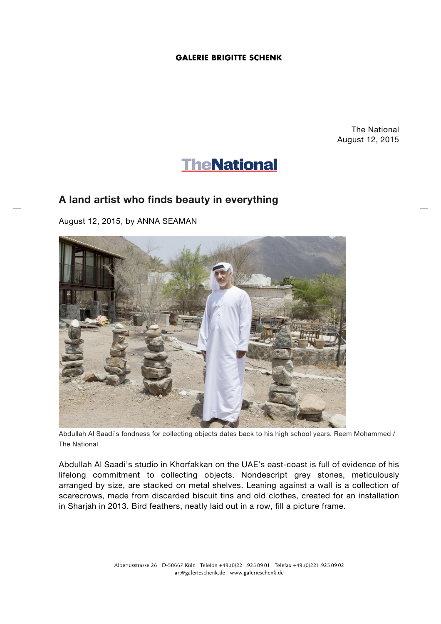## **GALERIE BRIGITTE SCHENK**

The National August 12, 2015



## **A land artist who finds beauty in everything**

August 12, 2015, by ANNA SEAMAN



Abdullah Al Saadi's fondness for collecting objects dates back to his high school years. Reem Mohammed / The National

Abdullah Al Saadi's studio in Khorfakkan on the UAE's east-coast is full of evidence of his lifelong commitment to collecting objects. Nondescript grey stones, meticulously arranged by size, are stacked on metal shelves. Leaning against a wall is a collection of scarecrows, made from discarded biscuit tins and old clothes, created for an installation in Sharjah in 2013. Bird feathers, neatly laid out in a row, fill a picture frame.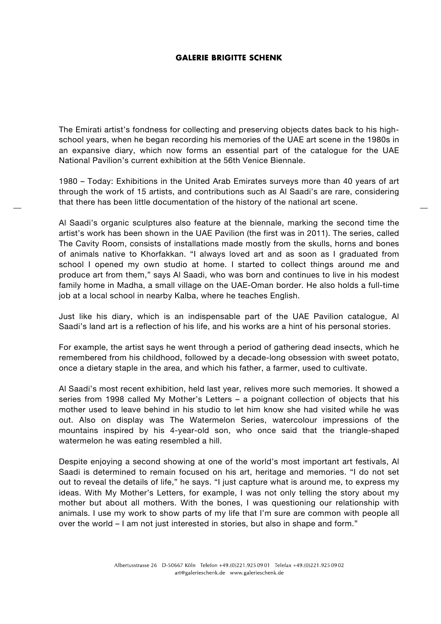## **GALERIE BRIGITTE SCHENK**

The Emirati artist's fondness for collecting and preserving objects dates back to his highschool years, when he began recording his memories of the UAE art scene in the 1980s in an expansive diary, which now forms an essential part of the catalogue for the UAE National Pavilion's current exhibition at the 56th Venice Biennale.

1980 – Today: Exhibitions in the United Arab Emirates surveys more than 40 years of art through the work of 15 artists, and contributions such as Al Saadi's are rare, considering that there has been little documentation of the history of the national art scene.

Al Saadi's organic sculptures also feature at the biennale, marking the second time the artist's work has been shown in the UAE Pavilion (the first was in 2011). The series, called The Cavity Room, consists of installations made mostly from the skulls, horns and bones of animals native to Khorfakkan. "I always loved art and as soon as I graduated from school I opened my own studio at home. I started to collect things around me and produce art from them," says Al Saadi, who was born and continues to live in his modest family home in Madha, a small village on the UAE-Oman border. He also holds a full-time job at a local school in nearby Kalba, where he teaches English.

Just like his diary, which is an indispensable part of the UAE Pavilion catalogue, Al Saadi's land art is a reflection of his life, and his works are a hint of his personal stories.

For example, the artist says he went through a period of gathering dead insects, which he remembered from his childhood, followed by a decade-long obsession with sweet potato, once a dietary staple in the area, and which his father, a farmer, used to cultivate.

Al Saadi's most recent exhibition, held last year, relives more such memories. It showed a series from 1998 called My Mother's Letters – a poignant collection of objects that his mother used to leave behind in his studio to let him know she had visited while he was out. Also on display was The Watermelon Series, watercolour impressions of the mountains inspired by his 4-year-old son, who once said that the triangle-shaped watermelon he was eating resembled a hill.

Despite enjoying a second showing at one of the world's most important art festivals, Al Saadi is determined to remain focused on his art, heritage and memories. "I do not set out to reveal the details of life," he says. "I just capture what is around me, to express my ideas. With My Mother's Letters, for example, I was not only telling the story about my mother but about all mothers. With the bones, I was questioning our relationship with animals. I use my work to show parts of my life that I'm sure are common with people all over the world – I am not just interested in stories, but also in shape and form."